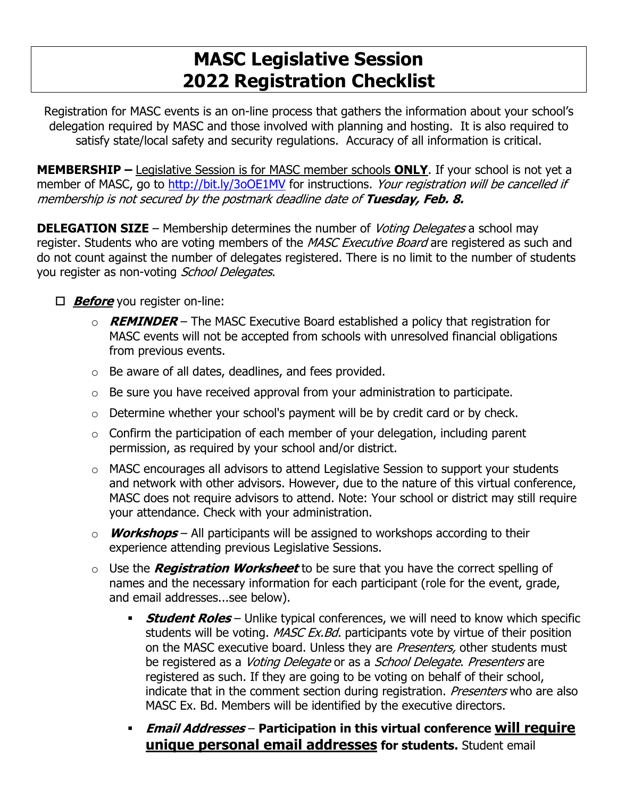## **MASC Legislative Session 2022 Registration Checklist**

Registration for MASC events is an on-line process that gathers the information about your school's delegation required by MASC and those involved with planning and hosting. It is also required to satisfy state/local safety and security regulations. Accuracy of all information is critical.

**MEMBERSHIP –** Legislative Session is for MASC member schools **ONLY**. If your school is not yet a member of MASC, go to http://bit.ly/3oOE1MV for instructions. Your registration will be cancelled if membership is not secured by the postmark deadline date of **Tuesday, Feb. 8.**

**DELEGATION SIZE** – Membership determines the number of *Voting Delegates* a school may register. Students who are voting members of the MASC Executive Board are registered as such and do not count against the number of delegates registered. There is no limit to the number of students you register as non-voting School Delegates.

### □ **Before** you register on-line:

- o **REMINDER** The MASC Executive Board established a policy that registration for MASC events will not be accepted from schools with unresolved financial obligations from previous events.
- o Be aware of all dates, deadlines, and fees provided.
- $\circ$  Be sure you have received approval from your administration to participate.
- o Determine whether your school's payment will be by credit card or by check.
- $\circ$  Confirm the participation of each member of your delegation, including parent permission, as required by your school and/or district.
- o MASC encourages all advisors to attend Legislative Session to support your students and network with other advisors. However, due to the nature of this virtual conference, MASC does not require advisors to attend. Note: Your school or district may still require your attendance. Check with your administration.
- o **Workshops** All participants will be assigned to workshops according to their experience attending previous Legislative Sessions.
- o Use the **Registration Worksheet** to be sure that you have the correct spelling of names and the necessary information for each participant (role for the event, grade, and email addresses...see below).
	- **Student Roles** Unlike typical conferences, we will need to know which specific students will be voting. *MASC Ex.Bd.* participants vote by virtue of their position on the MASC executive board. Unless they are *Presenters*, other students must be registered as a *Voting Delegate* or as a *School Delegate. Presenters* are registered as such. If they are going to be voting on behalf of their school, indicate that in the comment section during registration. Presenters who are also MASC Ex. Bd. Members will be identified by the executive directors.
	- § **Email Addresses Participation in this virtual conference will require unique personal email addresses for students.** Student email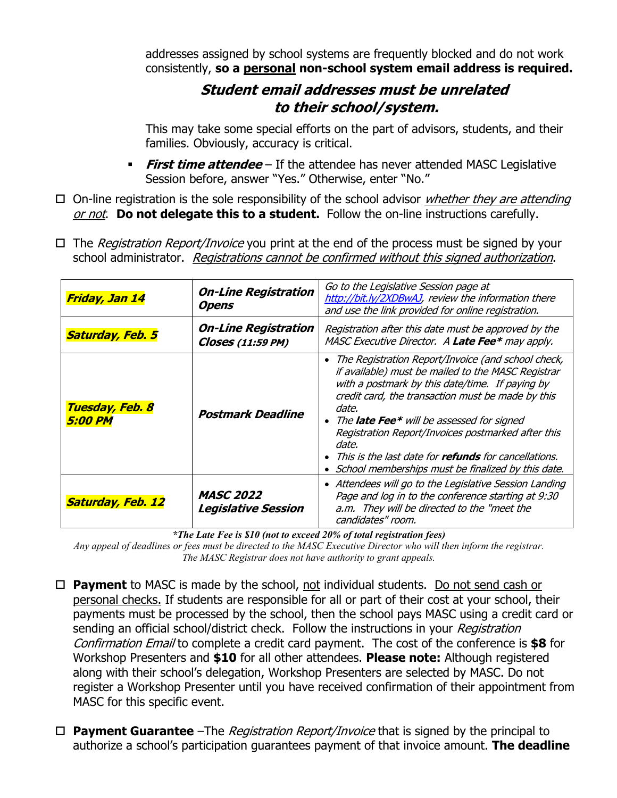addresses assigned by school systems are frequently blocked and do not work consistently, **so a personal non-school system email address is required.**

## **Student email addresses must be unrelated to their school/system.**

This may take some special efforts on the part of advisors, students, and their families. Obviously, accuracy is critical.

- § **First time attendee** If the attendee has never attended MASC Legislative Session before, answer "Yes." Otherwise, enter "No."
- $\Box$  On-line registration is the sole responsibility of the school advisor *whether they are attending* or not. **Do not delegate this to a student.** Follow the on-line instructions carefully.
- $\Box$  The *Registration Report/Invoice* you print at the end of the process must be signed by your school administrator. Registrations cannot be confirmed without this signed authorization.

| Friday, Jan 14                    | <b>On-Line Registration</b><br>Opens                    | Go to the Legislative Session page at<br>http://bit.ly/2XDBwAJ, review the information there<br>and use the link provided for online registration.                                                                                                                                                                                                                                                                                                                        |
|-----------------------------------|---------------------------------------------------------|---------------------------------------------------------------------------------------------------------------------------------------------------------------------------------------------------------------------------------------------------------------------------------------------------------------------------------------------------------------------------------------------------------------------------------------------------------------------------|
| <b>Saturday, Feb. 5</b>           | <b>On-Line Registration</b><br><b>Closes</b> (11:59 PM) | Registration after this date must be approved by the<br>MASC Executive Director. A Late Fee* may apply.                                                                                                                                                                                                                                                                                                                                                                   |
| Tuesday, Feb. 8<br><b>5:00 PM</b> | <b>Postmark Deadline</b>                                | The Registration Report/Invoice (and school check,<br>$\bullet$<br>if available) must be mailed to the MASC Registrar<br>with a postmark by this date/time. If paying by<br>credit card, the transaction must be made by this<br>date.<br>• The late Fee* will be assessed for signed<br>Registration Report/Invoices postmarked after this<br>date.<br>This is the last date for <b>refunds</b> for cancellations.<br>School memberships must be finalized by this date. |
| <b>Saturday, Feb. 12</b>          | <b>MASC 2022</b><br><b>Legislative Session</b>          | • Attendees will go to the Legislative Session Landing<br>Page and log in to the conference starting at 9:30<br>a.m. They will be directed to the "meet the<br>candidates" room.                                                                                                                                                                                                                                                                                          |

*\*The Late Fee is \$10 (not to exceed 20% of total registration fees)*

*Any appeal of deadlines or fees must be directed to the MASC Executive Director who will then inform the registrar. The MASC Registrar does not have authority to grant appeals.*

- $\Box$  **Payment** to MASC is made by the school, not individual students. Do not send cash or personal checks. If students are responsible for all or part of their cost at your school, their payments must be processed by the school, then the school pays MASC using a credit card or sending an official school/district check. Follow the instructions in your Registration Confirmation Email to complete a credit card payment. The cost of the conference is **\$8** for Workshop Presenters and **\$10** for all other attendees. **Please note:** Although registered along with their school's delegation, Workshop Presenters are selected by MASC. Do not register a Workshop Presenter until you have received confirmation of their appointment from MASC for this specific event.
- □ **Payment Guarantee** –The *Registration Report/Invoice* that is signed by the principal to authorize a school's participation guarantees payment of that invoice amount. **The deadline**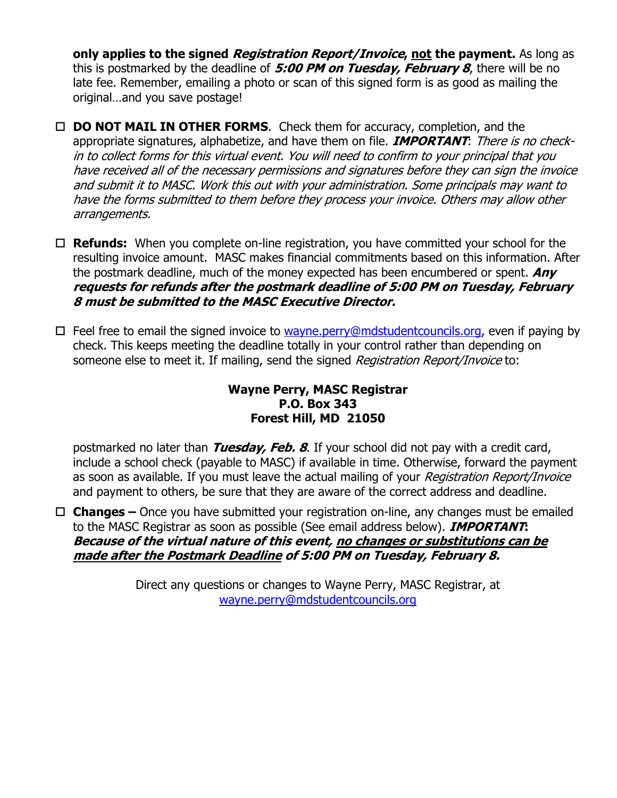**only applies to the signed Registration Report/Invoice, not the payment.** As long as this is postmarked by the deadline of **5:00 PM on Tuesday, February 8**, there will be no late fee. Remember, emailing a photo or scan of this signed form is as good as mailing the original…and you save postage!

- □ **DO NOT MAIL IN OTHER FORMS**. Check them for accuracy, completion, and the appropriate signatures, alphabetize, and have them on file. **IMPORTANT**: There is no checkin to collect forms for this virtual event. You will need to confirm to your principal that you have received all of the necessary permissions and signatures before they can sign the invoice and submit it to MASC. Work this out with your administration. Some principals may want to have the forms submitted to them before they process your invoice. Others may allow other arrangements.
- $\Box$  **Refunds:** When you complete on-line registration, you have committed your school for the resulting invoice amount. MASC makes financial commitments based on this information. After the postmark deadline, much of the money expected has been encumbered or spent. **Any requests for refunds after the postmark deadline of 5:00 PM on Tuesday, February 8 must be submitted to the MASC Executive Director.**
- $\Box$  Feel free to email the signed invoice to wayne.perry@mdstudentcouncils.org, even if paying by check. This keeps meeting the deadline totally in your control rather than depending on someone else to meet it. If mailing, send the signed Registration Report/Invoice to:

#### **Wayne Perry, MASC Registrar P.O. Box 343 Forest Hill, MD 21050**

postmarked no later than **Tuesday, Feb. 8**. If your school did not pay with a credit card, include a school check (payable to MASC) if available in time. Otherwise, forward the payment as soon as available. If you must leave the actual mailing of your Registration Report/Invoice and payment to others, be sure that they are aware of the correct address and deadline.

 $\Box$  **Changes –** Once you have submitted your registration on-line, any changes must be emailed to the MASC Registrar as soon as possible (See email address below). **IMPORTANT: Because of the virtual nature of this event, no changes or substitutions can be made after the Postmark Deadline of 5:00 PM on Tuesday, February 8.**

> Direct any questions or changes to Wayne Perry, MASC Registrar, at wayne.perry@mdstudentcouncils.org